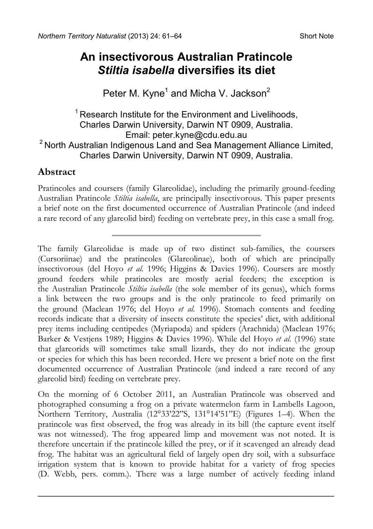## **An insectivorous Australian Pratincole**  *Stiltia isabella* **diversifies its diet**

Peter M. Kyne<sup>1</sup> and Micha V. Jackson<sup>2</sup>

# $1$  Research Institute for the Environment and Livelihoods, Charles Darwin University, Darwin NT 0909, Australia.  $2$  North Australian Indigenous Land and Sea Management Alliance Limited, Charles Darwin University, Darwin NT 0909, Australia.

## **Abstract**

Pratincoles and coursers (family Glareolidae), including the primarily ground-feeding Australian Pratincole *Stiltia isabella*, are principally insectivorous. This paper presents a brief note on the first documented occurrence of Australian Pratincole (and indeed a rare record of any glareolid bird) feeding on vertebrate prey, in this case a small frog.

The family Glareolidae is made up of two distinct sub-families, the coursers (Cursoriinae) and the pratincoles (Glareolinae), both of which are principally insectivorous (del Hoyo *et al.* 1996; Higgins & Davies 1996). Coursers are mostly ground feeders while pratincoles are mostly aerial feeders; the exception is the Australian Pratincole *Stiltia isabella* (the sole member of its genus), which forms a link between the two groups and is the only pratincole to feed primarily on the ground (Maclean 1976; del Hoyo *et al.* 1996). Stomach contents and feeding records indicate that a diversity of insects constitute the species' diet, with additional prey items including centipedes (Myriapoda) and spiders (Arachnida) (Maclean 1976; Barker & Vestjens 1989; Higgins & Davies 1996). While del Hoyo *et al.* (1996) state that glareorids will sometimes take small lizards, they do not indicate the group or species for which this has been recorded. Here we present a brief note on the first documented occurrence of Australian Pratincole (and indeed a rare record of any glareolid bird) feeding on vertebrate prey.

On the morning of 6 October 2011, an Australian Pratincole was observed and photographed consuming a frog on a private watermelon farm in Lambells Lagoon, Northern Territory, Australia (12°33'22"S, 131°14'51"E) (Figures 1–4). When the pratincole was first observed, the frog was already in its bill (the capture event itself was not witnessed). The frog appeared limp and movement was not noted. It is therefore uncertain if the pratincole killed the prey, or if it scavenged an already dead frog. The habitat was an agricultural field of largely open dry soil, with a subsurface irrigation system that is known to provide habitat for a variety of frog species (D. Webb, pers. comm.). There was a large number of actively feeding inland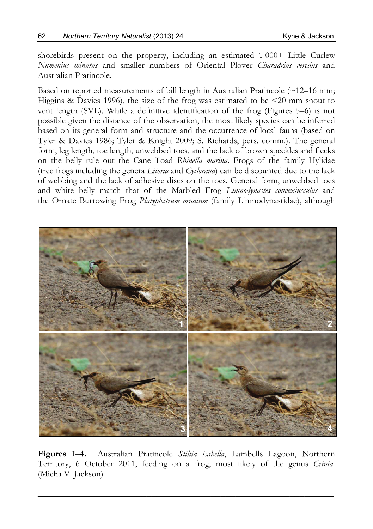shorebirds present on the property, including an estimated 1000+ Little Curlew *Numenius minutus* and smaller numbers of Oriental Plover *Charadrius veredus* and Australian Pratincole.

Based on reported measurements of bill length in Australian Pratincole  $(\sim 12-16 \text{ mm})$ ; Higgins & Davies 1996), the size of the frog was estimated to be <20 mm snout to vent length (SVL). While a definitive identification of the frog (Figures 5–6) is not possible given the distance of the observation, the most likely species can be inferred based on its general form and structure and the occurrence of local fauna (based on Tyler & Davies 1986; Tyler & Knight 2009; S. Richards, pers. comm.). The general form, leg length, toe length, unwebbed toes, and the lack of brown speckles and flecks on the belly rule out the Cane Toad *Rhinella marina*. Frogs of the family Hylidae (tree frogs including the genera *Litoria* and *Cyclorana*) can be discounted due to the lack of webbing and the lack of adhesive discs on the toes. General form, unwebbed toes and white belly match that of the Marbled Frog *Limnodynastes convexiusculus* and the Ornate Burrowing Frog *Platyplectrum ornatum* (family Limnodynastidae), although



**Figures 1–4.** Australian Pratincole *Stiltia isabella*, Lambells Lagoon, Northern Territory, 6 October 2011, feeding on a frog, most likely of the genus *Crinia*. (Micha V. Jackson)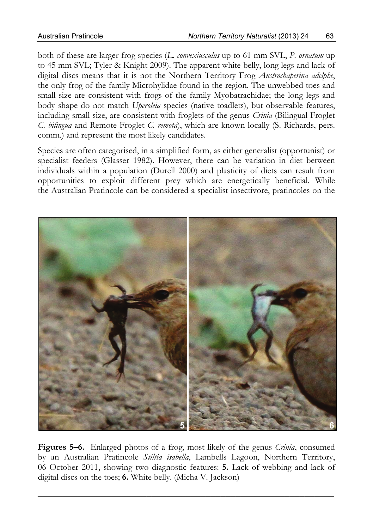both of these are larger frog species (*L. convexiusculus* up to 61 mm SVL, *P. ornatum* up to 45 mm SVL; Tyler & Knight 2009). The apparent white belly, long legs and lack of digital discs means that it is not the Northern Territory Frog *Austrochaperina adelphe*, the only frog of the family Microhylidae found in the region. The unwebbed toes and small size are consistent with frogs of the family Myobatrachidae; the long legs and body shape do not match *Uperoleia* species (native toadlets), but observable features, including small size, are consistent with froglets of the genus *Crinia* (Bilingual Froglet *C. bilingua* and Remote Froglet *C. remota*), which are known locally (S. Richards, pers. comm.) and represent the most likely candidates.

Species are often categorised, in a simplified form, as either generalist (opportunist) or specialist feeders (Glasser 1982). However, there can be variation in diet between individuals within a population (Durell 2000) and plasticity of diets can result from opportunities to exploit different prey which are energetically beneficial. While the Australian Pratincole can be considered a specialist insectivore, pratincoles on the



**Figures 5–6.** Enlarged photos of a frog, most likely of the genus *Crinia*, consumed by an Australian Pratincole *Stiltia isabella*, Lambells Lagoon, Northern Territory, 06 October 2011, showing two diagnostic features: **5.** Lack of webbing and lack of digital discs on the toes; **6.** White belly. (Micha V. Jackson)